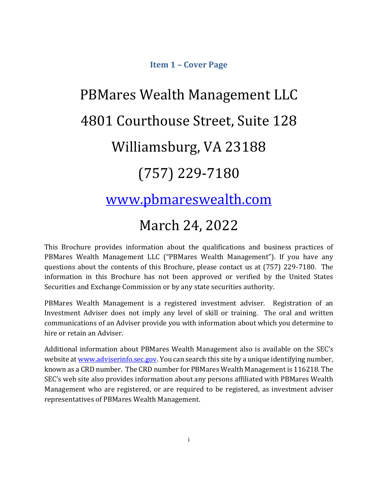**Item 1 – Cover Page**

# <span id="page-0-0"></span>PBMares Wealth Management LLC 4801 Courthouse Street, Suite 128 Williamsburg, VA 23188 (757) 229-7180

# [www.pbmareswealth.com](http://www.pbmareswealth.com/)

# March 24, 2022

This Brochure provides information about the qualifications and business practices of PBMares Wealth Management LLC ("PBMares Wealth Management"). If you have any questions about the contents of this Brochure, please contact us at (757) 229-7180. The information in this Brochure has not been approved or verified by the United States Securities and Exchange Commission or by any state securities authority.

PBMares Wealth Management is a registered investment adviser. Registration of an Investment Adviser does not imply any level of skill or training. The oral and written communications of an Adviser provide you with information about which you determine to hire or retain an Adviser.

Additional information about PBMares Wealth Management also is available on the SEC's website a[t www.adviserinfo.sec.gov.](http://www.adviserinfo.sec.gov/) You can search this site by a unique identifying number, known as a CRD number. The CRD number for PBMares Wealth Management is 116218. The SEC's web site also provides information about any persons affiliated with PBMares Wealth Management who are registered, or are required to be registered, as investment adviser representatives of PBMares Wealth Management.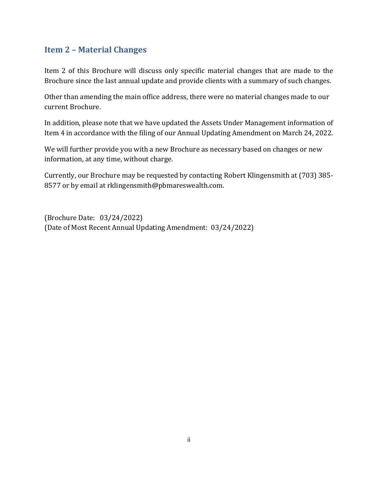# <span id="page-1-0"></span>**Item 2 – Material Changes**

Item 2 of this Brochure will discuss only specific material changes that are made to the Brochure since the last annual update and provide clients with a summary of such changes.

Other than amending the main office address, there were no material changes made to our current Brochure.

In addition, please note that we have updated the Assets Under Management information of Item 4 in accordance with the filing of our Annual Updating Amendment on March 24, 2022.

We will further provide you with a new Brochure as necessary based on changes or new information, at any time, without charge.

Currently, our Brochure may be requested by contacting Robert Klingensmith at (703) 385- 8577 or by email at rklingensmith@pbmareswealth.com.

(Brochure Date: 03/24/2022) (Date of Most Recent Annual Updating Amendment: 03/24/2022)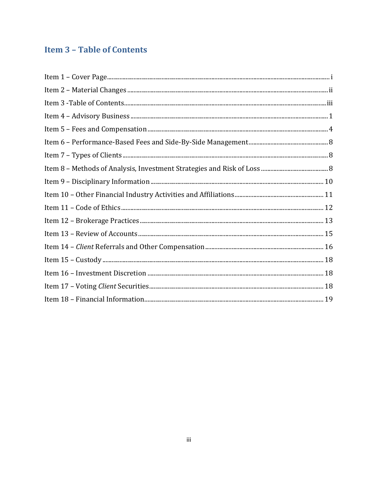# <span id="page-2-0"></span>**Item 3 - Table of Contents**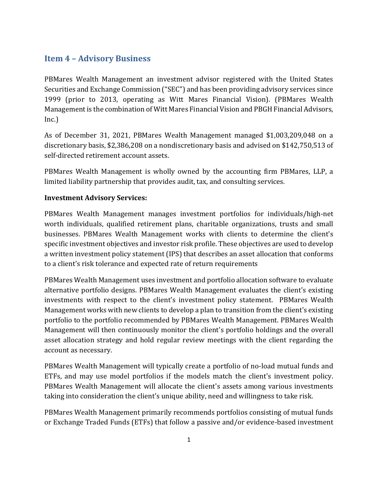# <span id="page-3-0"></span>**Item 4 – Advisory Business**

PBMares Wealth Management an investment advisor registered with the United States Securities and Exchange Commission ("SEC") and has been providing advisory services since 1999 (prior to 2013, operating as Witt Mares Financial Vision). (PBMares Wealth Management is the combination of Witt Mares Financial Vision and PBGH Financial Advisors, Inc.)

As of December 31, 2021, PBMares Wealth Management managed \$1,003,209,048 on a discretionary basis, \$2,386,208 on a nondiscretionary basis and advised on \$142,750,513 of self-directed retirement account assets.

PBMares Wealth Management is wholly owned by the accounting firm PBMares, LLP, a limited liability partnership that provides audit, tax, and consulting services.

#### **Investment Advisory Services:**

PBMares Wealth Management manages investment portfolios for individuals/high-net worth individuals, qualified retirement plans, charitable organizations, trusts and small businesses. PBMares Wealth Management works with clients to determine the client's specific investment objectives and investor risk profile. These objectives are used to develop a written investment policy statement (IPS) that describes an asset allocation that conforms to a client's risk tolerance and expected rate of return requirements

PBMares Wealth Management uses investment and portfolio allocation software to evaluate alternative portfolio designs. PBMares Wealth Management evaluates the client's existing investments with respect to the client's investment policy statement. PBMares Wealth Management works with new clients to develop a plan to transition from the client's existing portfolio to the portfolio recommended by PBMares Wealth Management. PBMares Wealth Management will then continuously monitor the client's portfolio holdings and the overall asset allocation strategy and hold regular review meetings with the client regarding the account as necessary.

PBMares Wealth Management will typically create a portfolio of no-load mutual funds and ETFs, and may use model portfolios if the models match the client's investment policy. PBMares Wealth Management will allocate the client's assets among various investments taking into consideration the client's unique ability, need and willingness to take risk.

PBMares Wealth Management primarily recommends portfolios consisting of mutual funds or Exchange Traded Funds (ETFs) that follow a passive and/or evidence-based investment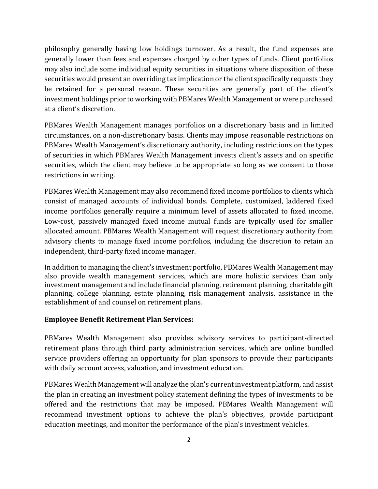philosophy generally having low holdings turnover. As a result, the fund expenses are generally lower than fees and expenses charged by other types of funds. Client portfolios may also include some individual equity securities in situations where disposition of these securities would present an overriding tax implication or the client specifically requests they be retained for a personal reason. These securities are generally part of the client's investment holdings prior to working with PBMares Wealth Management or were purchased at a client's discretion.

PBMares Wealth Management manages portfolios on a discretionary basis and in limited circumstances, on a non-discretionary basis. Clients may impose reasonable restrictions on PBMares Wealth Management's discretionary authority, including restrictions on the types of securities in which PBMares Wealth Management invests client's assets and on specific securities, which the client may believe to be appropriate so long as we consent to those restrictions in writing.

PBMares Wealth Management may also recommend fixed income portfolios to clients which consist of managed accounts of individual bonds. Complete, customized, laddered fixed income portfolios generally require a minimum level of assets allocated to fixed income. Low-cost, passively managed fixed income mutual funds are typically used for smaller allocated amount. PBMares Wealth Management will request discretionary authority from advisory clients to manage fixed income portfolios, including the discretion to retain an independent, third-party fixed income manager.

In addition to managing the client's investment portfolio, PBMares Wealth Management may also provide wealth management services, which are more holistic services than only investment management and include financial planning, retirement planning, charitable gift planning, college planning, estate planning, risk management analysis, assistance in the establishment of and counsel on retirement plans.

#### **Employee Benefit Retirement Plan Services:**

PBMares Wealth Management also provides advisory services to participant-directed retirement plans through third party administration services, which are online bundled service providers offering an opportunity for plan sponsors to provide their participants with daily account access, valuation, and investment education.

PBMares Wealth Management will analyze the plan's current investment platform, and assist the plan in creating an investment policy statement defining the types of investments to be offered and the restrictions that may be imposed. PBMares Wealth Management will recommend investment options to achieve the plan's objectives, provide participant education meetings, and monitor the performance of the plan's investment vehicles.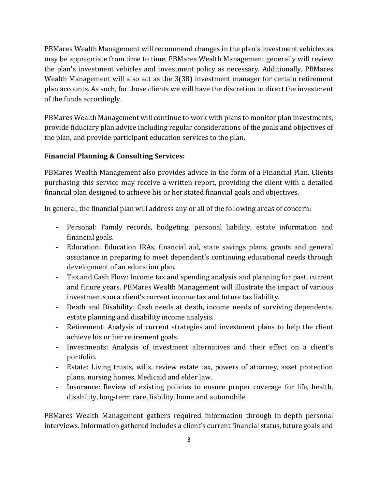PBMares Wealth Management will recommend changes in the plan's investment vehicles as may be appropriate from time to time. PBMares Wealth Management generally will review the plan's investment vehicles and investment policy as necessary. Additionally, PBMares Wealth Management will also act as the 3(38) investment manager for certain retirement plan accounts. As such, for those clients we will have the discretion to direct the investment of the funds accordingly.

PBMares Wealth Management will continue to work with plans to monitor plan investments, provide fiduciary plan advice including regular considerations of the goals and objectives of the plan, and provide participant education services to the plan.

#### **Financial Planning & Consulting Services:**

PBMares Wealth Management also provides advice in the form of a Financial Plan. Clients purchasing this service may receive a written report, providing the client with a detailed financial plan designed to achieve his or her stated financial goals and objectives.

In general, the financial plan will address any or all of the following areas of concern:

- Personal: Family records, budgeting, personal liability, estate information and financial goals.
- Education: Education IRAs, financial aid, state savings plans, grants and general assistance in preparing to meet dependent's continuing educational needs through development of an education plan.
- Tax and Cash Flow: Income tax and spending analysis and planning for past, current and future years. PBMares Wealth Management will illustrate the impact of various investments on a client's current income tax and future tax liability.
- Death and Disability: Cash needs at death, income needs of surviving dependents, estate planning and disability income analysis.
- Retirement: Analysis of current strategies and investment plans to help the client achieve his or her retirement goals.
- Investments: Analysis of investment alternatives and their effect on a client's portfolio.
- Estate: Living trusts, wills, review estate tax, powers of attorney, asset protection plans, nursing homes, Medicaid and elder law.
- Insurance: Review of existing policies to ensure proper coverage for life, health, disability, long-term care, liability, home and automobile.

PBMares Wealth Management gathers required information through in-depth personal interviews. Information gathered includes a client's current financial status, future goals and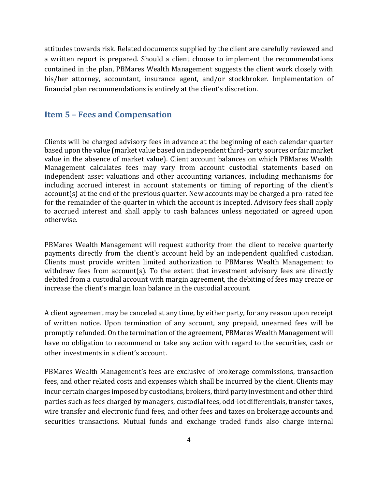attitudes towards risk. Related documents supplied by the client are carefully reviewed and a written report is prepared. Should a client choose to implement the recommendations contained in the plan, PBMares Wealth Management suggests the client work closely with his/her attorney, accountant, insurance agent, and/or stockbroker. Implementation of financial plan recommendations is entirely at the client's discretion.

#### <span id="page-6-0"></span>**Item 5 – Fees and Compensation**

Clients will be charged advisory fees in advance at the beginning of each calendar quarter based upon the value (market value based on independent third-party sources or fair market value in the absence of market value). Client account balances on which PBMares Wealth Management calculates fees may vary from account custodial statements based on independent asset valuations and other accounting variances, including mechanisms for including accrued interest in account statements or timing of reporting of the client's account(s) at the end of the previous quarter. New accounts may be charged a pro-rated fee for the remainder of the quarter in which the account is incepted. Advisory fees shall apply to accrued interest and shall apply to cash balances unless negotiated or agreed upon otherwise.

PBMares Wealth Management will request authority from the client to receive quarterly payments directly from the client's account held by an independent qualified custodian. Clients must provide written limited authorization to PBMares Wealth Management to withdraw fees from account(s). To the extent that investment advisory fees are directly debited from a custodial account with margin agreement, the debiting of fees may create or increase the client's margin loan balance in the custodial account.

A client agreement may be canceled at any time, by either party, for any reason upon receipt of written notice. Upon termination of any account, any prepaid, unearned fees will be promptly refunded. On the termination of the agreement, PBMares Wealth Management will have no obligation to recommend or take any action with regard to the securities, cash or other investments in a client's account.

PBMares Wealth Management's fees are exclusive of brokerage commissions, transaction fees, and other related costs and expenses which shall be incurred by the client. Clients may incur certain charges imposed by custodians, brokers, third party investment and other third parties such as fees charged by managers, custodial fees, odd-lot differentials, transfer taxes, wire transfer and electronic fund fees, and other fees and taxes on brokerage accounts and securities transactions. Mutual funds and exchange traded funds also charge internal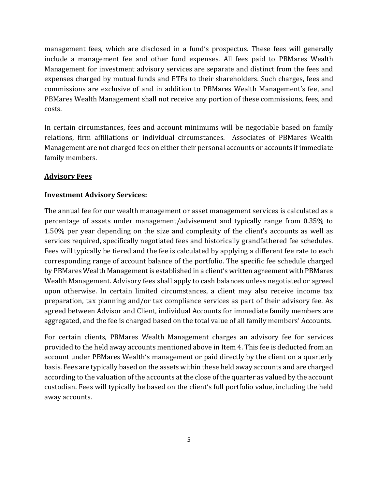management fees, which are disclosed in a fund's prospectus. These fees will generally include a management fee and other fund expenses. All fees paid to PBMares Wealth Management for investment advisory services are separate and distinct from the fees and expenses charged by mutual funds and ETFs to their shareholders. Such charges, fees and commissions are exclusive of and in addition to PBMares Wealth Management's fee, and PBMares Wealth Management shall not receive any portion of these commissions, fees, and costs.

In certain circumstances, fees and account minimums will be negotiable based on family relations, firm affiliations or individual circumstances. Associates of PBMares Wealth Management are not charged fees on either their personal accounts or accounts if immediate family members.

#### **Advisory Fees**

#### **Investment Advisory Services:**

The annual fee for our wealth management or asset management services is calculated as a percentage of assets under management/advisement and typically range from 0.35% to 1.50% per year depending on the size and complexity of the client's accounts as well as services required, specifically negotiated fees and historically grandfathered fee schedules. Fees will typically be tiered and the fee is calculated by applying a different fee rate to each corresponding range of account balance of the portfolio. The specific fee schedule charged by PBMares Wealth Management is established in a client's written agreement with PBMares Wealth Management. Advisory fees shall apply to cash balances unless negotiated or agreed upon otherwise. In certain limited circumstances, a client may also receive income tax preparation, tax planning and/or tax compliance services as part of their advisory fee. As agreed between Advisor and Client, individual Accounts for immediate family members are aggregated, and the fee is charged based on the total value of all family members' Accounts.

For certain clients, PBMares Wealth Management charges an advisory fee for services provided to the held away accounts mentioned above in Item 4. This fee is deducted from an account under PBMares Wealth's management or paid directly by the client on a quarterly basis. Fees are typically based on the assets within these held away accounts and are charged according to the valuation of the accounts at the close of the quarter as valued by the account custodian. Fees will typically be based on the client's full portfolio value, including the held away accounts.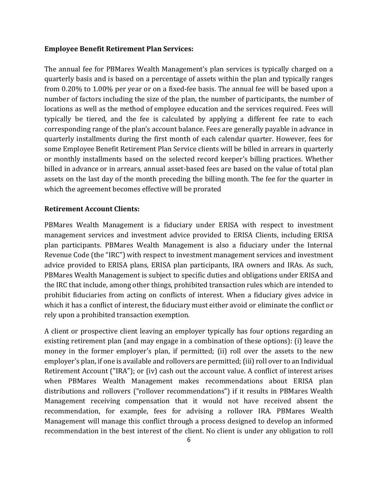#### **Employee Benefit Retirement Plan Services:**

The annual fee for PBMares Wealth Management's plan services is typically charged on a quarterly basis and is based on a percentage of assets within the plan and typically ranges from 0.20% to 1.00% per year or on a fixed-fee basis. The annual fee will be based upon a number of factors including the size of the plan, the number of participants, the number of locations as well as the method of employee education and the services required. Fees will typically be tiered, and the fee is calculated by applying a different fee rate to each corresponding range of the plan's account balance. Fees are generally payable in advance in quarterly installments during the first month of each calendar quarter. However, fees for some Employee Benefit Retirement Plan Service clients will be billed in arrears in quarterly or monthly installments based on the selected record keeper's billing practices. Whether billed in advance or in arrears, annual asset-based fees are based on the value of total plan assets on the last day of the month preceding the billing month. The fee for the quarter in which the agreement becomes effective will be prorated

#### **Retirement Account Clients:**

PBMares Wealth Management is a fiduciary under ERISA with respect to investment management services and investment advice provided to ERISA Clients, including ERISA plan participants. PBMares Wealth Management is also a fiduciary under the Internal Revenue Code (the "IRC") with respect to investment management services and investment advice provided to ERISA plans, ERISA plan participants, IRA owners and IRAs. As such, PBMares Wealth Management is subject to specific duties and obligations under ERISA and the IRC that include, among other things, prohibited transaction rules which are intended to prohibit fiduciaries from acting on conflicts of interest. When a fiduciary gives advice in which it has a conflict of interest, the fiduciary must either avoid or eliminate the conflict or rely upon a prohibited transaction exemption.

A client or prospective client leaving an employer typically has four options regarding an existing retirement plan (and may engage in a combination of these options): (i) leave the money in the former employer's plan, if permitted; (ii) roll over the assets to the new employer's plan, if one is available and rollovers are permitted; (iii) roll over to an Individual Retirement Account ("IRA"); or (iv) cash out the account value. A conflict of interest arises when PBMares Wealth Management makes recommendations about ERISA plan distributions and rollovers ("rollover recommendations") if it results in PBMares Wealth Management receiving compensation that it would not have received absent the recommendation, for example, fees for advising a rollover IRA. PBMares Wealth Management will manage this conflict through a process designed to develop an informed recommendation in the best interest of the client. No client is under any obligation to roll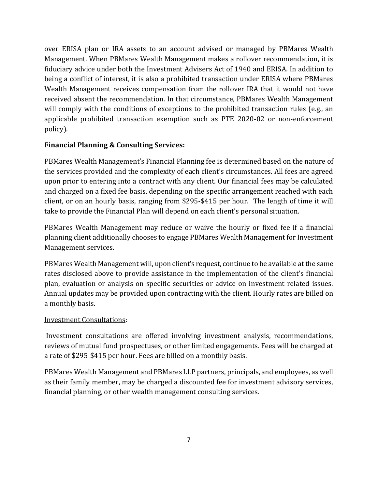over ERISA plan or IRA assets to an account advised or managed by PBMares Wealth Management. When PBMares Wealth Management makes a rollover recommendation, it is fiduciary advice under both the Investment Advisers Act of 1940 and ERISA. In addition to being a conflict of interest, it is also a prohibited transaction under ERISA where PBMares Wealth Management receives compensation from the rollover IRA that it would not have received absent the recommendation. In that circumstance, PBMares Wealth Management will comply with the conditions of exceptions to the prohibited transaction rules (e.g., an applicable prohibited transaction exemption such as PTE 2020-02 or non-enforcement policy).

#### **Financial Planning & Consulting Services:**

PBMares Wealth Management's Financial Planning fee is determined based on the nature of the services provided and the complexity of each client's circumstances. All fees are agreed upon prior to entering into a contract with any client. Our financial fees may be calculated and charged on a fixed fee basis, depending on the specific arrangement reached with each client, or on an hourly basis, ranging from \$295-\$415 per hour. The length of time it will take to provide the Financial Plan will depend on each client's personal situation.

PBMares Wealth Management may reduce or waive the hourly or fixed fee if a financial planning client additionally chooses to engage PBMares Wealth Management for Investment Management services.

PBMares Wealth Management will, upon client's request, continue to be available at the same rates disclosed above to provide assistance in the implementation of the client's financial plan, evaluation or analysis on specific securities or advice on investment related issues. Annual updates may be provided upon contracting with the client. Hourly rates are billed on a monthly basis.

#### Investment Consultations:

Investment consultations are offered involving investment analysis, recommendations, reviews of mutual fund prospectuses, or other limited engagements. Fees will be charged at a rate of \$295-\$415 per hour. Fees are billed on a monthly basis.

PBMares Wealth Management and PBMares LLP partners, principals, and employees, as well as their family member, may be charged a discounted fee for investment advisory services, financial planning, or other wealth management consulting services.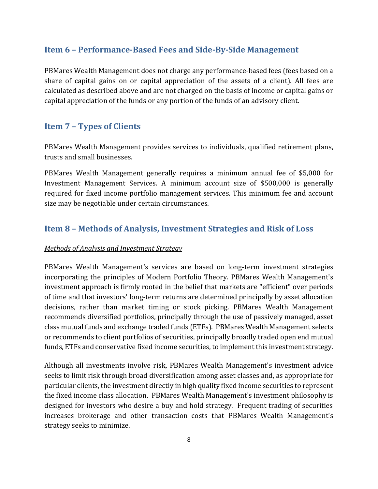## <span id="page-10-0"></span>**Item 6 – Performance-Based Fees and Side-By-Side Management**

PBMares Wealth Management does not charge any performance-based fees (fees based on a share of capital gains on or capital appreciation of the assets of a client). All fees are calculated as described above and are not charged on the basis of income or capital gains or capital appreciation of the funds or any portion of the funds of an advisory client.

# <span id="page-10-1"></span>**Item 7 – Types of Clients**

PBMares Wealth Management provides services to individuals, qualified retirement plans, trusts and small businesses.

PBMares Wealth Management generally requires a minimum annual fee of \$5,000 for Investment Management Services. A minimum account size of \$500,000 is generally required for fixed income portfolio management services. This minimum fee and account size may be negotiable under certain circumstances.

# <span id="page-10-2"></span>**Item 8 – Methods of Analysis, Investment Strategies and Risk of Loss**

#### *Methods of Analysis and Investment Strategy*

PBMares Wealth Management's services are based on long-term investment strategies incorporating the principles of Modern Portfolio Theory. PBMares Wealth Management's investment approach is firmly rooted in the belief that markets are "efficient" over periods of time and that investors' long-term returns are determined principally by asset allocation decisions, rather than market timing or stock picking. PBMares Wealth Management recommends diversified portfolios, principally through the use of passively managed, asset class mutual funds and exchange traded funds (ETFs). PBMares Wealth Management selects or recommends to client portfolios of securities, principally broadly traded open end mutual funds, ETFs and conservative fixed income securities, to implement this investment strategy.

Although all investments involve risk, PBMares Wealth Management's investment advice seeks to limit risk through broad diversification among asset classes and, as appropriate for particular clients, the investment directly in high quality fixed income securities to represent the fixed income class allocation. PBMares Wealth Management's investment philosophy is designed for investors who desire a buy and hold strategy. Frequent trading of securities increases brokerage and other transaction costs that PBMares Wealth Management's strategy seeks to minimize.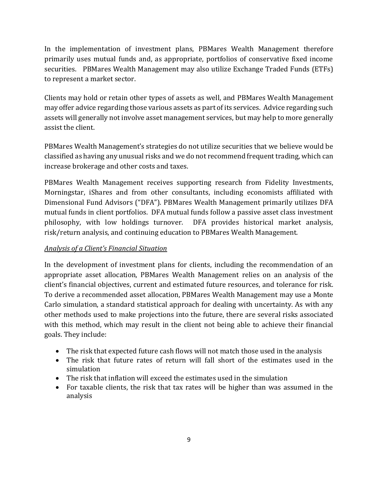In the implementation of investment plans, PBMares Wealth Management therefore primarily uses mutual funds and, as appropriate, portfolios of conservative fixed income securities. PBMares Wealth Management may also utilize Exchange Traded Funds (ETFs) to represent a market sector.

Clients may hold or retain other types of assets as well, and PBMares Wealth Management may offer advice regarding those various assets as part of its services. Advice regarding such assets will generally not involve asset management services, but may help to more generally assist the client.

PBMares Wealth Management's strategies do not utilize securities that we believe would be classified as having any unusual risks and we do not recommend frequent trading, which can increase brokerage and other costs and taxes.

PBMares Wealth Management receives supporting research from Fidelity Investments, Morningstar, iShares and from other consultants, including economists affiliated with Dimensional Fund Advisors ("DFA"). PBMares Wealth Management primarily utilizes DFA mutual funds in client portfolios. DFA mutual funds follow a passive asset class investment philosophy, with low holdings turnover. DFA provides historical market analysis, risk/return analysis, and continuing education to PBMares Wealth Management.

#### *Analysis of a Client's Financial Situation*

In the development of investment plans for clients, including the recommendation of an appropriate asset allocation, PBMares Wealth Management relies on an analysis of the client's financial objectives, current and estimated future resources, and tolerance for risk. To derive a recommended asset allocation, PBMares Wealth Management may use a Monte Carlo simulation, a standard statistical approach for dealing with uncertainty. As with any other methods used to make projections into the future, there are several risks associated with this method, which may result in the client not being able to achieve their financial goals. They include:

- The risk that expected future cash flows will not match those used in the analysis
- The risk that future rates of return will fall short of the estimates used in the simulation
- The risk that inflation will exceed the estimates used in the simulation
- For taxable clients, the risk that tax rates will be higher than was assumed in the analysis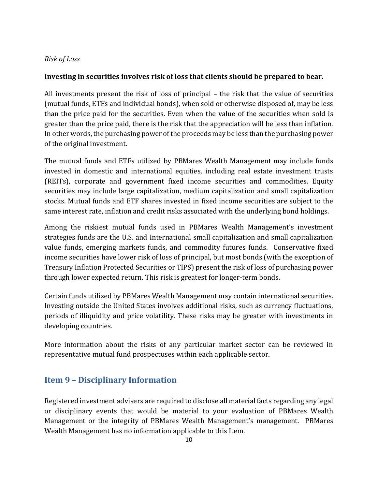#### *Risk of Loss*

#### **Investing in securities involves risk of loss that clients should be prepared to bear.**

All investments present the risk of loss of principal – the risk that the value of securities (mutual funds, ETFs and individual bonds), when sold or otherwise disposed of, may be less than the price paid for the securities. Even when the value of the securities when sold is greater than the price paid, there is the risk that the appreciation will be less than inflation. In other words, the purchasing power of the proceeds may be less than the purchasing power of the original investment.

The mutual funds and ETFs utilized by PBMares Wealth Management may include funds invested in domestic and international equities, including real estate investment trusts (REITs), corporate and government fixed income securities and commodities. Equity securities may include large capitalization, medium capitalization and small capitalization stocks. Mutual funds and ETF shares invested in fixed income securities are subject to the same interest rate, inflation and credit risks associated with the underlying bond holdings.

Among the riskiest mutual funds used in PBMares Wealth Management's investment strategies funds are the U.S. and International small capitalization and small capitalization value funds, emerging markets funds, and commodity futures funds. Conservative fixed income securities have lower risk of loss of principal, but most bonds (with the exception of Treasury Inflation Protected Securities or TIPS) present the risk of loss of purchasing power through lower expected return. This risk is greatest for longer-term bonds.

Certain funds utilized by PBMares Wealth Management may contain international securities. Investing outside the United States involves additional risks, such as currency fluctuations, periods of illiquidity and price volatility. These risks may be greater with investments in developing countries.

More information about the risks of any particular market sector can be reviewed in representative mutual fund prospectuses within each applicable sector.

# <span id="page-12-0"></span>**Item 9 – Disciplinary Information**

Registered investment advisers are required to disclose all material facts regarding any legal or disciplinary events that would be material to your evaluation of PBMares Wealth Management or the integrity of PBMares Wealth Management's management. PBMares Wealth Management has no information applicable to this Item.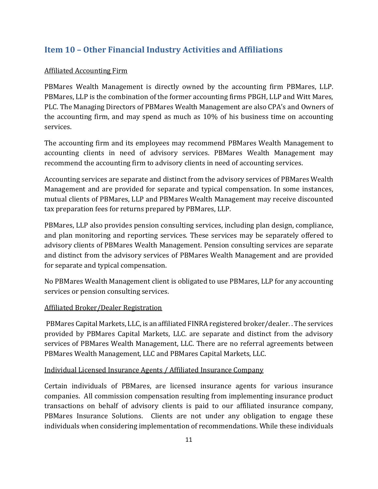# <span id="page-13-0"></span>**Item 10 – Other Financial Industry Activities and Affiliations**

#### Affiliated Accounting Firm

PBMares Wealth Management is directly owned by the accounting firm PBMares, LLP. PBMares, LLP is the combination of the former accounting firms PBGH, LLP and Witt Mares, PLC. The Managing Directors of PBMares Wealth Management are also CPA's and Owners of the accounting firm, and may spend as much as 10% of his business time on accounting services.

The accounting firm and its employees may recommend PBMares Wealth Management to accounting clients in need of advisory services. PBMares Wealth Management may recommend the accounting firm to advisory clients in need of accounting services.

Accounting services are separate and distinct from the advisory services of PBMares Wealth Management and are provided for separate and typical compensation. In some instances, mutual clients of PBMares, LLP and PBMares Wealth Management may receive discounted tax preparation fees for returns prepared by PBMares, LLP.

PBMares, LLP also provides pension consulting services, including plan design, compliance, and plan monitoring and reporting services. These services may be separately offered to advisory clients of PBMares Wealth Management. Pension consulting services are separate and distinct from the advisory services of PBMares Wealth Management and are provided for separate and typical compensation.

No PBMares Wealth Management client is obligated to use PBMares, LLP for any accounting services or pension consulting services.

#### Affiliated Broker/Dealer Registration

PBMares Capital Markets, LLC, is an affiliated FINRA registered broker/dealer. . The services provided by PBMares Capital Markets, LLC. are separate and distinct from the advisory services of PBMares Wealth Management, LLC. There are no referral agreements between PBMares Wealth Management, LLC and PBMares Capital Markets, LLC.

#### Individual Licensed Insurance Agents / Affiliated Insurance Company

Certain individuals of PBMares, are licensed insurance agents for various insurance companies. All commission compensation resulting from implementing insurance product transactions on behalf of advisory clients is paid to our affiliated insurance company, PBMares Insurance Solutions. Clients are not under any obligation to engage these individuals when considering implementation of recommendations. While these individuals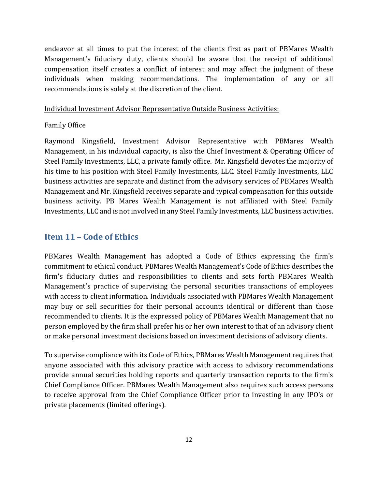endeavor at all times to put the interest of the clients first as part of PBMares Wealth Management's fiduciary duty, clients should be aware that the receipt of additional compensation itself creates a conflict of interest and may affect the judgment of these individuals when making recommendations. The implementation of any or all recommendations is solely at the discretion of the client.

#### Individual Investment Advisor Representative Outside Business Activities:

#### Family Office

Raymond Kingsfield, Investment Advisor Representative with PBMares Wealth Management, in his individual capacity, is also the Chief Investment & Operating Officer of Steel Family Investments, LLC, a private family office. Mr. Kingsfield devotes the majority of his time to his position with Steel Family Investments, LLC. Steel Family Investments, LLC business activities are separate and distinct from the advisory services of PBMares Wealth Management and Mr. Kingsfield receives separate and typical compensation for this outside business activity. PB Mares Wealth Management is not affiliated with Steel Family Investments, LLC and is not involved in any Steel Family Investments, LLC business activities.

#### <span id="page-14-0"></span>**Item 11 – Code of Ethics**

PBMares Wealth Management has adopted a Code of Ethics expressing the firm's commitment to ethical conduct. PBMares Wealth Management's Code of Ethics describes the firm's fiduciary duties and responsibilities to clients and sets forth PBMares Wealth Management's practice of supervising the personal securities transactions of employees with access to client information. Individuals associated with PBMares Wealth Management may buy or sell securities for their personal accounts identical or different than those recommended to clients. It is the expressed policy of PBMares Wealth Management that no person employed by the firm shall prefer his or her own interest to that of an advisory client or make personal investment decisions based on investment decisions of advisory clients.

To supervise compliance with its Code of Ethics, PBMares Wealth Management requires that anyone associated with this advisory practice with access to advisory recommendations provide annual securities holding reports and quarterly transaction reports to the firm's Chief Compliance Officer. PBMares Wealth Management also requires such access persons to receive approval from the Chief Compliance Officer prior to investing in any IPO's or private placements (limited offerings).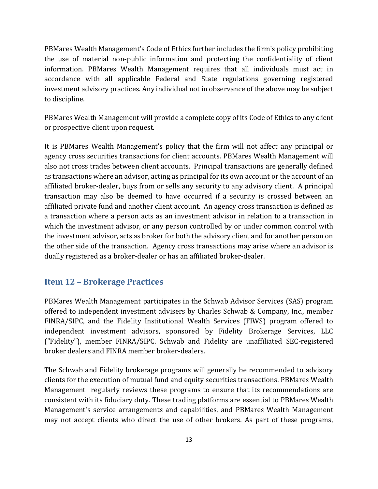PBMares Wealth Management's Code of Ethics further includes the firm's policy prohibiting the use of material non-public information and protecting the confidentiality of client information. PBMares Wealth Management requires that all individuals must act in accordance with all applicable Federal and State regulations governing registered investment advisory practices. Any individual not in observance of the above may be subject to discipline.

PBMares Wealth Management will provide a complete copy of its Code of Ethics to any client or prospective client upon request.

It is PBMares Wealth Management's policy that the firm will not affect any principal or agency cross securities transactions for client accounts. PBMares Wealth Management will also not cross trades between client accounts. Principal transactions are generally defined as transactions where an advisor, acting as principal for its own account or the account of an affiliated broker-dealer, buys from or sells any security to any advisory client. A principal transaction may also be deemed to have occurred if a security is crossed between an affiliated private fund and another client account. An agency cross transaction is defined as a transaction where a person acts as an investment advisor in relation to a transaction in which the investment advisor, or any person controlled by or under common control with the investment advisor, acts as broker for both the advisory client and for another person on the other side of the transaction. Agency cross transactions may arise where an advisor is dually registered as a broker-dealer or has an affiliated broker-dealer.

#### <span id="page-15-0"></span>**Item 12 – Brokerage Practices**

PBMares Wealth Management participates in the Schwab Advisor Services (SAS) program offered to independent investment advisers by Charles Schwab & Company, Inc., member FINRA/SIPC, and the Fidelity Institutional Wealth Services (FIWS) program offered to independent investment advisors, sponsored by Fidelity Brokerage Services, LLC ("Fidelity"), member FINRA/SIPC. Schwab and Fidelity are unaffiliated SEC-registered broker dealers and FINRA member broker-dealers.

The Schwab and Fidelity brokerage programs will generally be recommended to advisory clients for the execution of mutual fund and equity securities transactions. PBMares Wealth Management regularly reviews these programs to ensure that its recommendations are consistent with its fiduciary duty. These trading platforms are essential to PBMares Wealth Management's service arrangements and capabilities, and PBMares Wealth Management may not accept clients who direct the use of other brokers. As part of these programs,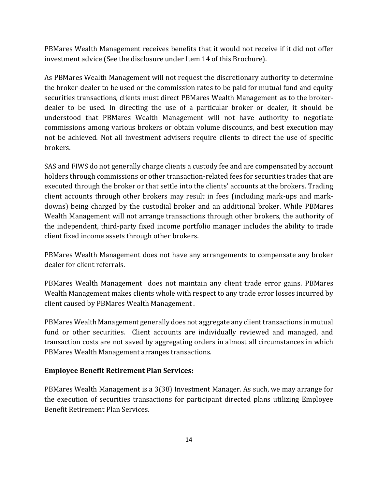PBMares Wealth Management receives benefits that it would not receive if it did not offer investment advice (See the disclosure under Item 14 of this Brochure).

As PBMares Wealth Management will not request the discretionary authority to determine the broker-dealer to be used or the commission rates to be paid for mutual fund and equity securities transactions, clients must direct PBMares Wealth Management as to the brokerdealer to be used. In directing the use of a particular broker or dealer, it should be understood that PBMares Wealth Management will not have authority to negotiate commissions among various brokers or obtain volume discounts, and best execution may not be achieved. Not all investment advisers require clients to direct the use of specific brokers.

SAS and FIWS do not generally charge clients a custody fee and are compensated by account holders through commissions or other transaction-related fees for securities trades that are executed through the broker or that settle into the clients' accounts at the brokers. Trading client accounts through other brokers may result in fees (including mark-ups and markdowns) being charged by the custodial broker and an additional broker. While PBMares Wealth Management will not arrange transactions through other brokers, the authority of the independent, third-party fixed income portfolio manager includes the ability to trade client fixed income assets through other brokers.

PBMares Wealth Management does not have any arrangements to compensate any broker dealer for client referrals.

PBMares Wealth Management does not maintain any client trade error gains. PBMares Wealth Management makes clients whole with respect to any trade error losses incurred by client caused by PBMares Wealth Management .

PBMares Wealth Management generally does not aggregate any client transactions in mutual fund or other securities. Client accounts are individually reviewed and managed, and transaction costs are not saved by aggregating orders in almost all circumstances in which PBMares Wealth Management arranges transactions.

#### **Employee Benefit Retirement Plan Services:**

PBMares Wealth Management is a 3(38) Investment Manager. As such, we may arrange for the execution of securities transactions for participant directed plans utilizing Employee Benefit Retirement Plan Services.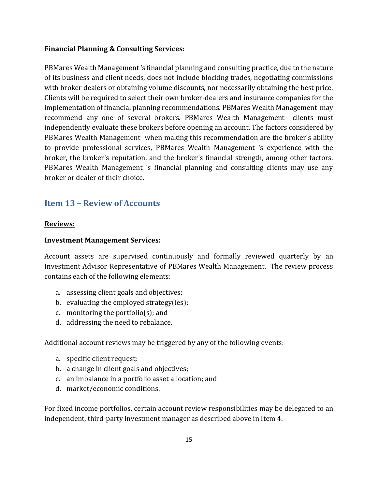#### **Financial Planning & Consulting Services:**

PBMares Wealth Management 's financial planning and consulting practice, due to the nature of its business and client needs, does not include blocking trades, negotiating commissions with broker dealers or obtaining volume discounts, nor necessarily obtaining the best price. Clients will be required to select their own broker-dealers and insurance companies for the implementation of financial planning recommendations. PBMares Wealth Management may recommend any one of several brokers. PBMares Wealth Management clients must independently evaluate these brokers before opening an account. The factors considered by PBMares Wealth Management when making this recommendation are the broker's ability to provide professional services, PBMares Wealth Management 's experience with the broker, the broker's reputation, and the broker's financial strength, among other factors. PBMares Wealth Management 's financial planning and consulting clients may use any broker or dealer of their choice.

# <span id="page-17-0"></span>**Item 13 – Review of Accounts**

#### **Reviews:**

#### **Investment Management Services:**

Account assets are supervised continuously and formally reviewed quarterly by an Investment Advisor Representative of PBMares Wealth Management. The review process contains each of the following elements:

- a. assessing client goals and objectives;
- b. evaluating the employed strategy(ies);
- c. monitoring the portfolio(s); and
- d. addressing the need to rebalance.

Additional account reviews may be triggered by any of the following events:

- a. specific client request;
- b. a change in client goals and objectives;
- c. an imbalance in a portfolio asset allocation; and
- d. market/economic conditions.

For fixed income portfolios, certain account review responsibilities may be delegated to an independent, third-party investment manager as described above in Item 4.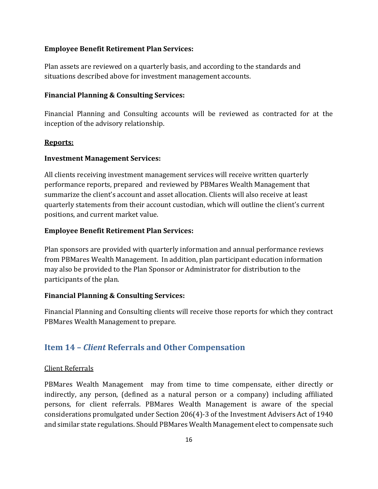#### **Employee Benefit Retirement Plan Services:**

Plan assets are reviewed on a quarterly basis, and according to the standards and situations described above for investment management accounts.

#### **Financial Planning & Consulting Services:**

Financial Planning and Consulting accounts will be reviewed as contracted for at the inception of the advisory relationship.

#### **Reports:**

#### **Investment Management Services:**

All clients receiving investment management services will receive written quarterly performance reports, prepared and reviewed by PBMares Wealth Management that summarize the client's account and asset allocation. Clients will also receive at least quarterly statements from their account custodian, which will outline the client's current positions, and current market value.

#### **Employee Benefit Retirement Plan Services:**

Plan sponsors are provided with quarterly information and annual performance reviews from PBMares Wealth Management. In addition, plan participant education information may also be provided to the Plan Sponsor or Administrator for distribution to the participants of the plan.

#### **Financial Planning & Consulting Services:**

Financial Planning and Consulting clients will receive those reports for which they contract PBMares Wealth Management to prepare.

# <span id="page-18-0"></span>**Item 14 –** *Client* **Referrals and Other Compensation**

#### Client Referrals

PBMares Wealth Management may from time to time compensate, either directly or indirectly, any person, (defined as a natural person or a company) including affiliated persons, for client referrals. PBMares Wealth Management is aware of the special considerations promulgated under Section 206(4)-3 of the Investment Advisers Act of 1940 and similar state regulations. Should PBMares Wealth Management elect to compensate such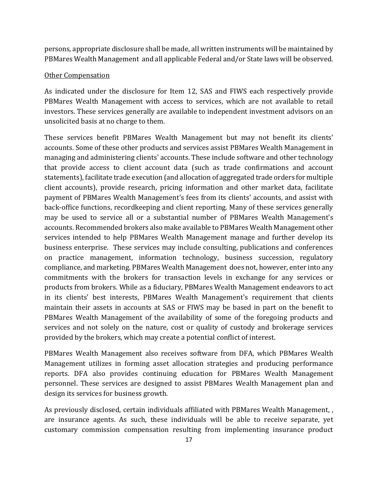persons, appropriate disclosure shall be made, all written instruments will be maintained by PBMares Wealth Management and all applicable Federal and/or State laws will be observed.

#### Other Compensation

As indicated under the disclosure for Item 12, SAS and FIWS each respectively provide PBMares Wealth Management with access to services, which are not available to retail investors. These services generally are available to independent investment advisors on an unsolicited basis at no charge to them.

These services benefit PBMares Wealth Management but may not benefit its clients' accounts. Some of these other products and services assist PBMares Wealth Management in managing and administering clients' accounts. These include software and other technology that provide access to client account data (such as trade confirmations and account statements), facilitate trade execution (and allocation of aggregated trade orders for multiple client accounts), provide research, pricing information and other market data, facilitate payment of PBMares Wealth Management's fees from its clients' accounts, and assist with back-office functions, recordkeeping and client reporting. Many of these services generally may be used to service all or a substantial number of PBMares Wealth Management's accounts. Recommended brokers also make available to PBMares Wealth Management other services intended to help PBMares Wealth Management manage and further develop its business enterprise. These services may include consulting, publications and conferences on practice management, information technology, business succession, regulatory compliance, and marketing. PBMares Wealth Management does not, however, enter into any commitments with the brokers for transaction levels in exchange for any services or products from brokers. While as a fiduciary, PBMares Wealth Management endeavors to act in its clients' best interests, PBMares Wealth Management's requirement that clients maintain their assets in accounts at SAS or FIWS may be based in part on the benefit to PBMares Wealth Management of the availability of some of the foregoing products and services and not solely on the nature, cost or quality of custody and brokerage services provided by the brokers, which may create a potential conflict of interest.

PBMares Wealth Management also receives software from DFA, which PBMares Wealth Management utilizes in forming asset allocation strategies and producing performance reports. DFA also provides continuing education for PBMares Wealth Management personnel. These services are designed to assist PBMares Wealth Management plan and design its services for business growth.

As previously disclosed, certain individuals affiliated with PBMares Wealth Management, , are insurance agents. As such, these individuals will be able to receive separate, yet customary commission compensation resulting from implementing insurance product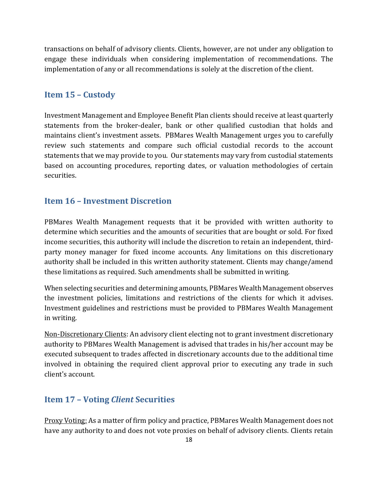transactions on behalf of advisory clients. Clients, however, are not under any obligation to engage these individuals when considering implementation of recommendations. The implementation of any or all recommendations is solely at the discretion of the client.

#### <span id="page-20-0"></span>**Item 15 – Custody**

Investment Management and Employee Benefit Plan clients should receive at least quarterly statements from the broker-dealer, bank or other qualified custodian that holds and maintains client's investment assets. PBMares Wealth Management urges you to carefully review such statements and compare such official custodial records to the account statements that we may provide to you. Our statements may vary from custodial statements based on accounting procedures, reporting dates, or valuation methodologies of certain securities.

## <span id="page-20-1"></span>**Item 16 – Investment Discretion**

PBMares Wealth Management requests that it be provided with written authority to determine which securities and the amounts of securities that are bought or sold. For fixed income securities, this authority will include the discretion to retain an independent, thirdparty money manager for fixed income accounts. Any limitations on this discretionary authority shall be included in this written authority statement. Clients may change/amend these limitations as required. Such amendments shall be submitted in writing.

When selecting securities and determining amounts, PBMares Wealth Management observes the investment policies, limitations and restrictions of the clients for which it advises. Investment guidelines and restrictions must be provided to PBMares Wealth Management in writing.

Non-Discretionary Clients: An advisory client electing not to grant investment discretionary authority to PBMares Wealth Management is advised that trades in his/her account may be executed subsequent to trades affected in discretionary accounts due to the additional time involved in obtaining the required client approval prior to executing any trade in such client's account.

# <span id="page-20-2"></span>**Item 17 – Voting** *Client* **Securities**

Proxy Voting: As a matter of firm policy and practice, PBMares Wealth Management does not have any authority to and does not vote proxies on behalf of advisory clients. Clients retain